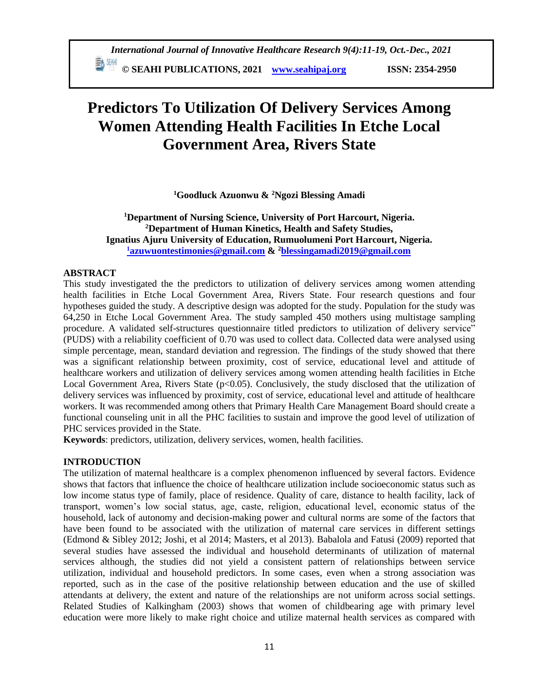**E** <sup>5H</sup> © SEAHI PUBLICATIONS, 2021 *[www.seahipaj.org](http://www.seahipaj.org/)* ISSN: 2354-2950

# **Predictors To Utilization Of Delivery Services Among Women Attending Health Facilities In Etche Local Government Area, Rivers State**

**<sup>1</sup>Goodluck Azuonwu & <sup>2</sup>Ngozi Blessing Amadi**

# **<sup>1</sup>Department of Nursing Science, University of Port Harcourt, Nigeria. <sup>2</sup>Department of Human Kinetics, Health and Safety Studies, Ignatius Ajuru University of Education, Rumuolumeni Port Harcourt, Nigeria. <sup>1</sup>[azuwuontestimonies@gmail.com](mailto:1azuwuontestimonies@gmail.com) & <sup>2</sup>[blessingamadi2019@gmail.com](mailto:blessingamadi2019@gmail.com)**

## **ABSTRACT**

This study investigated the the predictors to utilization of delivery services among women attending health facilities in Etche Local Government Area, Rivers State. Four research questions and four hypotheses guided the study. A descriptive design was adopted for the study. Population for the study was 64,250 in Etche Local Government Area. The study sampled 450 mothers using multistage sampling procedure. A validated self-structures questionnaire titled predictors to utilization of delivery service" (PUDS) with a reliability coefficient of 0.70 was used to collect data. Collected data were analysed using simple percentage, mean, standard deviation and regression. The findings of the study showed that there was a significant relationship between proximity, cost of service, educational level and attitude of healthcare workers and utilization of delivery services among women attending health facilities in Etche Local Government Area, Rivers State (p<0.05). Conclusively, the study disclosed that the utilization of delivery services was influenced by proximity, cost of service, educational level and attitude of healthcare workers. It was recommended among others that Primary Health Care Management Board should create a functional counseling unit in all the PHC facilities to sustain and improve the good level of utilization of PHC services provided in the State.

**Keywords**: predictors, utilization, delivery services, women, health facilities.

# **INTRODUCTION**

The utilization of maternal healthcare is a complex phenomenon influenced by several factors. Evidence shows that factors that influence the choice of healthcare utilization include socioeconomic status such as low income status type of family, place of residence. Quality of care, distance to health facility, lack of transport, women's low social status, age, caste, religion, educational level, economic status of the household, lack of autonomy and decision-making power and cultural norms are some of the factors that have been found to be associated with the utilization of maternal care services in different settings (Edmond & Sibley 2012; Joshi, et al 2014; Masters, et al 2013). Babalola and Fatusi (2009) reported that several studies have assessed the individual and household determinants of utilization of maternal services although, the studies did not yield a consistent pattern of relationships between service utilization, individual and household predictors. In some cases, even when a strong association was reported, such as in the case of the positive relationship between education and the use of skilled attendants at delivery, the extent and nature of the relationships are not uniform across social settings. Related Studies of Kalkingham (2003) shows that women of childbearing age with primary level education were more likely to make right choice and utilize maternal health services as compared with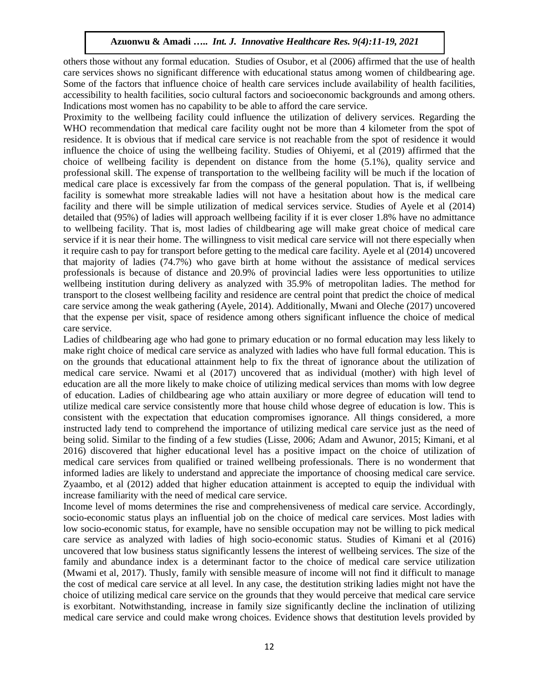others those without any formal education. Studies of Osubor, et al (2006) affirmed that the use of health care services shows no significant difference with educational status among women of childbearing age. Some of the factors that influence choice of health care services include availability of health facilities, accessibility to health facilities, socio cultural factors and socioeconomic backgrounds and among others. Indications most women has no capability to be able to afford the care service.

Proximity to the wellbeing facility could influence the utilization of delivery services. Regarding the WHO recommendation that medical care facility ought not be more than 4 kilometer from the spot of residence. It is obvious that if medical care service is not reachable from the spot of residence it would influence the choice of using the wellbeing facility. Studies of Ohiyemi, et al (2019) affirmed that the choice of wellbeing facility is dependent on distance from the home (5.1%), quality service and professional skill. The expense of transportation to the wellbeing facility will be much if the location of medical care place is excessively far from the compass of the general population. That is, if wellbeing facility is somewhat more streakable ladies will not have a hesitation about how is the medical care facility and there will be simple utilization of medical services service. Studies of Ayele et al (2014) detailed that (95%) of ladies will approach wellbeing facility if it is ever closer 1.8% have no admittance to wellbeing facility. That is, most ladies of childbearing age will make great choice of medical care service if it is near their home. The willingness to visit medical care service will not there especially when it require cash to pay for transport before getting to the medical care facility. Ayele et al (2014) uncovered that majority of ladies (74.7%) who gave birth at home without the assistance of medical services professionals is because of distance and 20.9% of provincial ladies were less opportunities to utilize wellbeing institution during delivery as analyzed with 35.9% of metropolitan ladies. The method for transport to the closest wellbeing facility and residence are central point that predict the choice of medical care service among the weak gathering (Ayele, 2014). Additionally, Mwani and Oleche (2017) uncovered that the expense per visit, space of residence among others significant influence the choice of medical care service.

Ladies of childbearing age who had gone to primary education or no formal education may less likely to make right choice of medical care service as analyzed with ladies who have full formal education. This is on the grounds that educational attainment help to fix the threat of ignorance about the utilization of medical care service. Nwami et al (2017) uncovered that as individual (mother) with high level of education are all the more likely to make choice of utilizing medical services than moms with low degree of education. Ladies of childbearing age who attain auxiliary or more degree of education will tend to utilize medical care service consistently more that house child whose degree of education is low. This is consistent with the expectation that education compromises ignorance. All things considered, a more instructed lady tend to comprehend the importance of utilizing medical care service just as the need of being solid. Similar to the finding of a few studies (Lisse, 2006; Adam and Awunor, 2015; Kimani, et al 2016) discovered that higher educational level has a positive impact on the choice of utilization of medical care services from qualified or trained wellbeing professionals. There is no wonderment that informed ladies are likely to understand and appreciate the importance of choosing medical care service. Zyaambo, et al (2012) added that higher education attainment is accepted to equip the individual with increase familiarity with the need of medical care service.

Income level of moms determines the rise and comprehensiveness of medical care service. Accordingly, socio-economic status plays an influential job on the choice of medical care services. Most ladies with low socio-economic status, for example, have no sensible occupation may not be willing to pick medical care service as analyzed with ladies of high socio-economic status. Studies of Kimani et al (2016) uncovered that low business status significantly lessens the interest of wellbeing services. The size of the family and abundance index is a determinant factor to the choice of medical care service utilization (Mwami et al, 2017). Thusly, family with sensible measure of income will not find it difficult to manage the cost of medical care service at all level. In any case, the destitution striking ladies might not have the choice of utilizing medical care service on the grounds that they would perceive that medical care service is exorbitant. Notwithstanding, increase in family size significantly decline the inclination of utilizing medical care service and could make wrong choices. Evidence shows that destitution levels provided by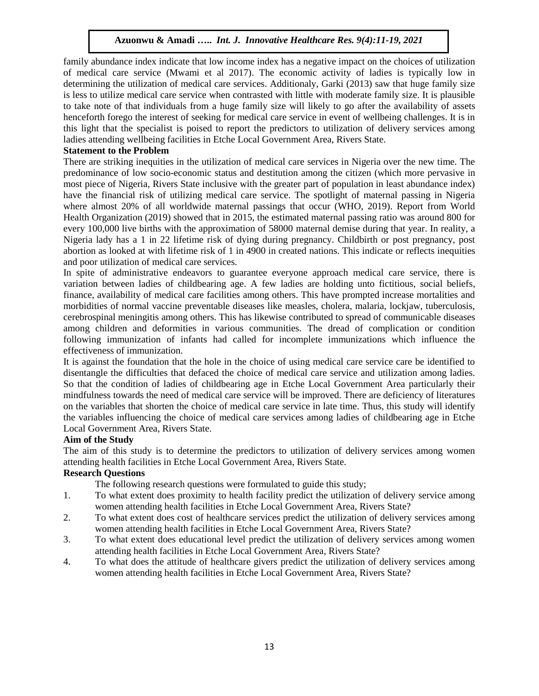family abundance index indicate that low income index has a negative impact on the choices of utilization of medical care service (Mwami et al 2017). The economic activity of ladies is typically low in determining the utilization of medical care services. Additionaly, Garki (2013) saw that huge family size is less to utilize medical care service when contrasted with little with moderate family size. It is plausible to take note of that individuals from a huge family size will likely to go after the availability of assets henceforth forego the interest of seeking for medical care service in event of wellbeing challenges. It is in this light that the specialist is poised to report the predictors to utilization of delivery services among ladies attending wellbeing facilities in Etche Local Government Area, Rivers State.

## **Statement to the Problem**

There are striking inequities in the utilization of medical care services in Nigeria over the new time. The predominance of low socio-economic status and destitution among the citizen (which more pervasive in most piece of Nigeria, Rivers State inclusive with the greater part of population in least abundance index) have the financial risk of utilizing medical care service. The spotlight of maternal passing in Nigeria where almost 20% of all worldwide maternal passings that occur (WHO, 2019). Report from World Health Organization (2019) showed that in 2015, the estimated maternal passing ratio was around 800 for every 100,000 live births with the approximation of 58000 maternal demise during that year. In reality, a Nigeria lady has a 1 in 22 lifetime risk of dying during pregnancy. Childbirth or post pregnancy, post abortion as looked at with lifetime risk of 1 in 4900 in created nations. This indicate or reflects inequities and poor utilization of medical care services.

In spite of administrative endeavors to guarantee everyone approach medical care service, there is variation between ladies of childbearing age. A few ladies are holding unto fictitious, social beliefs, finance, availability of medical care facilities among others. This have prompted increase mortalities and morbidities of normal vaccine preventable diseases like measles, cholera, malaria, lockjaw, tuberculosis, cerebrospinal meningitis among others. This has likewise contributed to spread of communicable diseases among children and deformities in various communities. The dread of complication or condition following immunization of infants had called for incomplete immunizations which influence the effectiveness of immunization.

It is against the foundation that the hole in the choice of using medical care service care be identified to disentangle the difficulties that defaced the choice of medical care service and utilization among ladies. So that the condition of ladies of childbearing age in Etche Local Government Area particularly their mindfulness towards the need of medical care service will be improved. There are deficiency of literatures on the variables that shorten the choice of medical care service in late time. Thus, this study will identify the variables influencing the choice of medical care services among ladies of childbearing age in Etche Local Government Area, Rivers State.

## **Aim of the Study**

The aim of this study is to determine the predictors to utilization of delivery services among women attending health facilities in Etche Local Government Area, Rivers State.

# **Research Questions**

The following research questions were formulated to guide this study;

- 1. To what extent does proximity to health facility predict the utilization of delivery service among women attending health facilities in Etche Local Government Area, Rivers State?
- 2. To what extent does cost of healthcare services predict the utilization of delivery services among women attending health facilities in Etche Local Government Area, Rivers State?
- 3. To what extent does educational level predict the utilization of delivery services among women attending health facilities in Etche Local Government Area, Rivers State?
- 4. To what does the attitude of healthcare givers predict the utilization of delivery services among women attending health facilities in Etche Local Government Area, Rivers State?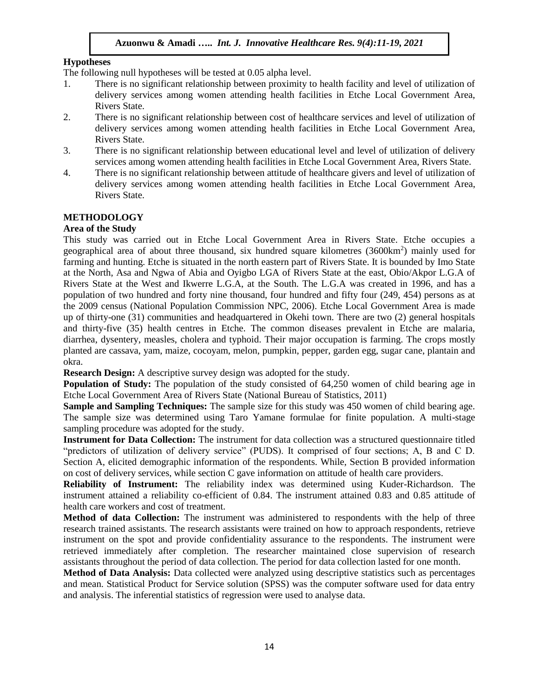# **Hypotheses**

The following null hypotheses will be tested at 0.05 alpha level.

- 1. There is no significant relationship between proximity to health facility and level of utilization of delivery services among women attending health facilities in Etche Local Government Area, Rivers State.
- 2. There is no significant relationship between cost of healthcare services and level of utilization of delivery services among women attending health facilities in Etche Local Government Area, Rivers State.
- 3. There is no significant relationship between educational level and level of utilization of delivery services among women attending health facilities in Etche Local Government Area, Rivers State.
- 4. There is no significant relationship between attitude of healthcare givers and level of utilization of delivery services among women attending health facilities in Etche Local Government Area, Rivers State.

# **METHODOLOGY**

## **Area of the Study**

This study was carried out in Etche Local Government Area in Rivers State. Etche occupies a geographical area of about three thousand, six hundred square kilometres (3600km<sup>2</sup>) mainly used for farming and hunting. Etche is situated in the north eastern part of Rivers State. It is bounded by Imo State at the North, Asa and Ngwa of Abia and Oyigbo LGA of Rivers State at the east, Obio/Akpor L.G.A of Rivers State at the West and Ikwerre L.G.A, at the South. The L.G.A was created in 1996, and has a population of two hundred and forty nine thousand, four hundred and fifty four (249, 454) persons as at the 2009 census (National Population Commission NPC, 2006). Etche Local Government Area is made up of thirty-one (31) communities and headquartered in Okehi town. There are two (2) general hospitals and thirty-five (35) health centres in Etche. The common diseases prevalent in Etche are malaria, diarrhea, dysentery, measles, cholera and typhoid. Their major occupation is farming. The crops mostly planted are cassava, yam, maize, cocoyam, melon, pumpkin, pepper, garden egg, sugar cane, plantain and okra.

**Research Design:** A descriptive survey design was adopted for the study.

**Population of Study:** The population of the study consisted of 64,250 women of child bearing age in Etche Local Government Area of Rivers State (National Bureau of Statistics, 2011)

**Sample and Sampling Techniques:** The sample size for this study was 450 women of child bearing age. The sample size was determined using Taro Yamane formulae for finite population. A multi-stage sampling procedure was adopted for the study.

**Instrument for Data Collection:** The instrument for data collection was a structured questionnaire titled "predictors of utilization of delivery service" (PUDS). It comprised of four sections; A, B and C D. Section A, elicited demographic information of the respondents. While, Section B provided information on cost of delivery services, while section C gave information on attitude of health care providers.

**Reliability of Instrument:** The reliability index was determined using Kuder-Richardson. The instrument attained a reliability co-efficient of 0.84. The instrument attained 0.83 and 0.85 attitude of health care workers and cost of treatment.

**Method of data Collection:** The instrument was administered to respondents with the help of three research trained assistants. The research assistants were trained on how to approach respondents, retrieve instrument on the spot and provide confidentiality assurance to the respondents. The instrument were retrieved immediately after completion. The researcher maintained close supervision of research assistants throughout the period of data collection. The period for data collection lasted for one month.

**Method of Data Analysis:** Data collected were analyzed using descriptive statistics such as percentages and mean. Statistical Product for Service solution (SPSS) was the computer software used for data entry and analysis. The inferential statistics of regression were used to analyse data.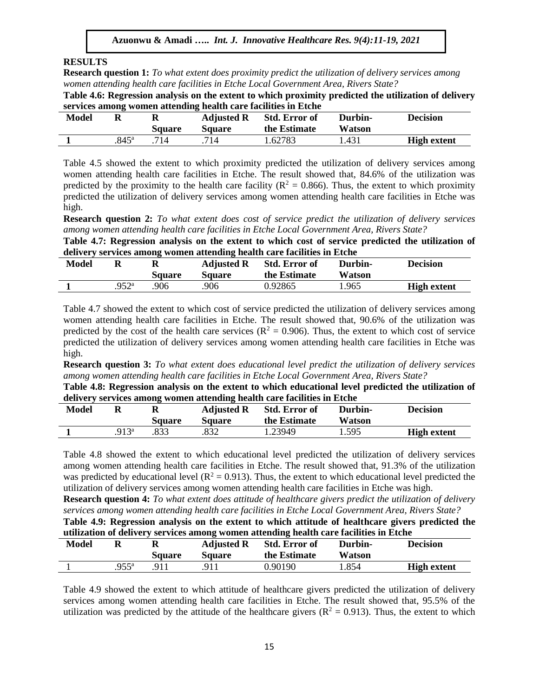## **RESULTS**

**Research question 1:** *To what extent does proximity predict the utilization of delivery services among women attending health care facilities in Etche Local Government Area, Rivers State?*

**Table 4.6: Regression analysis on the extent to which proximity predicted the utilization of delivery services among women attending health care facilities in Etche** 

| <b>Model</b> |               | Square | <b>Adjusted R</b><br>Square | <b>Std. Error of</b><br>the Estimate | Durbin-<br>Watson | <b>Decision</b>    |
|--------------|---------------|--------|-----------------------------|--------------------------------------|-------------------|--------------------|
|              | $845^{\circ}$ | 714    | 714                         | . 62783                              | 1.431             | <b>High extent</b> |

Table 4.5 showed the extent to which proximity predicted the utilization of delivery services among women attending health care facilities in Etche. The result showed that, 84.6% of the utilization was predicted by the proximity to the health care facility ( $R^2 = 0.866$ ). Thus, the extent to which proximity predicted the utilization of delivery services among women attending health care facilities in Etche was high.

**Research question 2:** *To what extent does cost of service predict the utilization of delivery services among women attending health care facilities in Etche Local Government Area, Rivers State?*

**Table 4.7: Regression analysis on the extent to which cost of service predicted the utilization of delivery services among women attending health care facilities in Etche** 

| <b>Model</b> |                  | И<br><b>Square</b> | <b>Adjusted R</b><br>Square | <b>Std. Error of</b><br>the Estimate | Durbin-<br>Watson | <b>Decision</b>    |
|--------------|------------------|--------------------|-----------------------------|--------------------------------------|-------------------|--------------------|
|              | 952 <sup>a</sup> | .906               | .906                        | 0.92865                              | 1.965             | <b>High extent</b> |

Table 4.7 showed the extent to which cost of service predicted the utilization of delivery services among women attending health care facilities in Etche. The result showed that, 90.6% of the utilization was predicted by the cost of the health care services ( $R^2 = 0.906$ ). Thus, the extent to which cost of service predicted the utilization of delivery services among women attending health care facilities in Etche was high.

**Research question 3:** *To what extent does educational level predict the utilization of delivery services among women attending health care facilities in Etche Local Government Area, Rivers State?*

**Table 4.8: Regression analysis on the extent to which educational level predicted the utilization of delivery services among women attending health care facilities in Etche** 

| <b>Model</b> |                | Square | <b>Adjusted R</b><br><b>Square</b> | <b>Std. Error of</b><br>the Estimate | Durbin-<br>Watson | <b>Decision</b>    |
|--------------|----------------|--------|------------------------------------|--------------------------------------|-------------------|--------------------|
|              | $.913^{\circ}$ | .833   | .832                               | 1.23949                              | 1.595             | <b>High extent</b> |

Table 4.8 showed the extent to which educational level predicted the utilization of delivery services among women attending health care facilities in Etche. The result showed that, 91.3% of the utilization was predicted by educational level ( $R^2 = 0.913$ ). Thus, the extent to which educational level predicted the utilization of delivery services among women attending health care facilities in Etche was high.

**Research question 4:** *To what extent does attitude of healthcare givers predict the utilization of delivery services among women attending health care facilities in Etche Local Government Area, Rivers State?*

**Table 4.9: Regression analysis on the extent to which attitude of healthcare givers predicted the utilization of delivery services among women attending health care facilities in Etche** 

| Model |                    | л<br>Square | <b>Adjusted R</b><br><b>Square</b> | <b>Std. Error of</b><br>the Estimate | Durbin-<br>Watson | <b>Decision</b>    |
|-------|--------------------|-------------|------------------------------------|--------------------------------------|-------------------|--------------------|
|       | $955^{\mathrm{a}}$ | Q1.1        | .911                               | 0.90190                              | 854. ا            | <b>High extent</b> |

Table 4.9 showed the extent to which attitude of healthcare givers predicted the utilization of delivery services among women attending health care facilities in Etche. The result showed that, 95.5% of the utilization was predicted by the attitude of the healthcare givers ( $\mathbb{R}^2 = 0.913$ ). Thus, the extent to which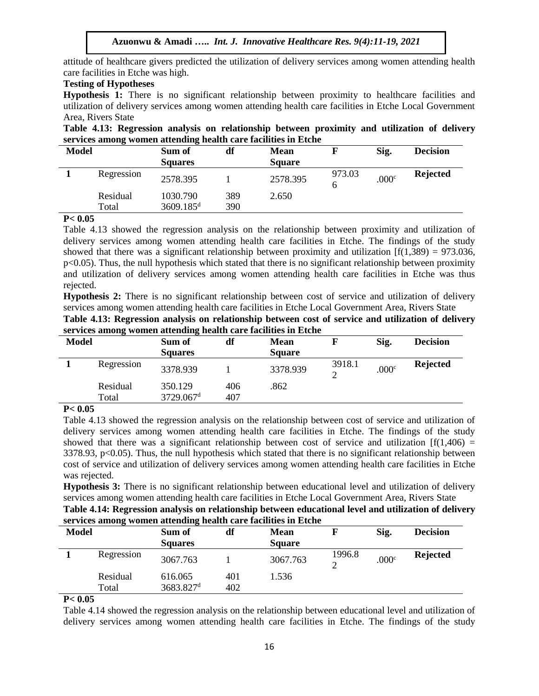attitude of healthcare givers predicted the utilization of delivery services among women attending health care facilities in Etche was high.

## **Testing of Hypotheses**

**Hypothesis 1:** There is no significant relationship between proximity to healthcare facilities and utilization of delivery services among women attending health care facilities in Etche Local Government Area, Rivers State

**Table 4.13: Regression analysis on relationship between proximity and utilization of delivery services among women attending health care facilities in Etche** 

| <b>Model</b> |                   | Sum of<br><b>Squares</b>            | df         | <b>Mean</b><br><b>Square</b> |        | Sig.              | <b>Decision</b> |
|--------------|-------------------|-------------------------------------|------------|------------------------------|--------|-------------------|-----------------|
|              | Regression        | 2578.395                            |            | 2578.395                     | 973.03 | .000 <sup>c</sup> | <b>Rejected</b> |
|              | Residual<br>Total | 1030.790<br>$3609.185$ <sup>d</sup> | 389<br>390 | 2.650                        |        |                   |                 |

### **P< 0.05**

Table 4.13 showed the regression analysis on the relationship between proximity and utilization of delivery services among women attending health care facilities in Etche. The findings of the study showed that there was a significant relationship between proximity and utilization  $[f(1,389) = 973.036]$ ,  $p<0.05$ ). Thus, the null hypothesis which stated that there is no significant relationship between proximity and utilization of delivery services among women attending health care facilities in Etche was thus rejected.

**Hypothesis 2:** There is no significant relationship between cost of service and utilization of delivery services among women attending health care facilities in Etche Local Government Area, Rivers State

| Table 4.13: Regression analysis on relationship between cost of service and utilization of delivery |  |
|-----------------------------------------------------------------------------------------------------|--|
| services among women attending health care facilities in Etche                                      |  |

| <b>Model</b>         | Sum of         | df                      | <b>Mean</b>   |        | Sig.              | <b>Decision</b> |
|----------------------|----------------|-------------------------|---------------|--------|-------------------|-----------------|
|                      | <b>Squares</b> |                         | <b>Square</b> |        |                   |                 |
| Regression           | 3378.939       |                         | 3378.939      | 3918.1 | .000 <sup>c</sup> | <b>Rejected</b> |
| Residual             | 350.129        | 406                     | .862          |        |                   |                 |
|                      |                | 407                     |               |        |                   |                 |
| $\sim$ $\sim$ $\sim$ | Total          | $3729.067$ <sup>d</sup> |               |        |                   |                 |

## **P< 0.05**

Table 4.13 showed the regression analysis on the relationship between cost of service and utilization of delivery services among women attending health care facilities in Etche. The findings of the study showed that there was a significant relationship between cost of service and utilization  $[f(1,406) =$  $3378.93$ , p $<0.05$ ). Thus, the null hypothesis which stated that there is no significant relationship between cost of service and utilization of delivery services among women attending health care facilities in Etche was rejected.

**Hypothesis 3:** There is no significant relationship between educational level and utilization of delivery services among women attending health care facilities in Etche Local Government Area, Rivers State

**Table 4.14: Regression analysis on relationship between educational level and utilization of delivery services among women attending health care facilities in Etche** 

| <b>Model</b> |                   | Sum of<br><b>Squares</b>         | df         | <b>Mean</b><br><b>Square</b> |        | Sig.              | <b>Decision</b> |
|--------------|-------------------|----------------------------------|------------|------------------------------|--------|-------------------|-----------------|
|              | Regression        | 3067.763                         |            | 3067.763                     | 1996.8 | .000 <sup>c</sup> | <b>Rejected</b> |
|              | Residual<br>Total | 616.065<br>3683.827 <sup>d</sup> | 401<br>402 | 1.536                        |        |                   |                 |

## **P< 0.05**

Table 4.14 showed the regression analysis on the relationship between educational level and utilization of delivery services among women attending health care facilities in Etche. The findings of the study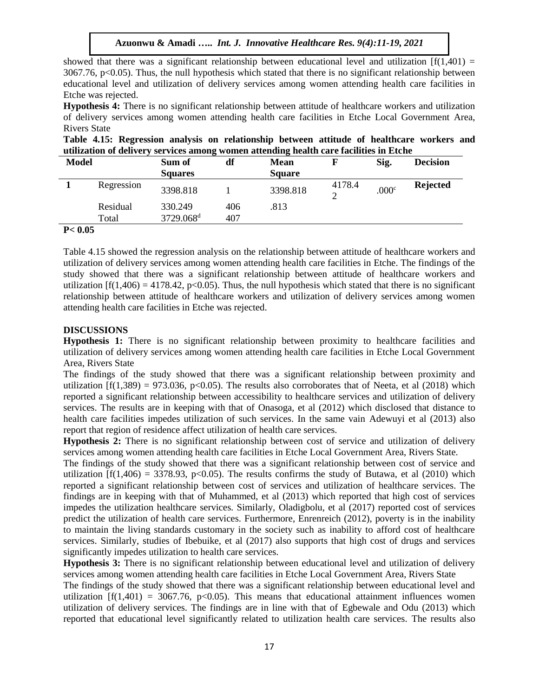showed that there was a significant relationship between educational level and utilization  $[f(1,401) =$  $3067.76$ , p $<0.05$ ). Thus, the null hypothesis which stated that there is no significant relationship between educational level and utilization of delivery services among women attending health care facilities in Etche was rejected.

**Hypothesis 4:** There is no significant relationship between attitude of healthcare workers and utilization of delivery services among women attending health care facilities in Etche Local Government Area, Rivers State

**Table 4.15: Regression analysis on relationship between attitude of healthcare workers and utilization of delivery services among women attending health care facilities in Etche** 

| <b>Model</b> |                   | Sum of<br><b>Squares</b>         | df         | <b>Mean</b><br><b>Square</b> |        | Sig.              | <b>Decision</b> |
|--------------|-------------------|----------------------------------|------------|------------------------------|--------|-------------------|-----------------|
|              | Regression        | 3398.818                         |            | 3398.818                     | 4178.4 | .000 <sup>c</sup> | <b>Rejected</b> |
|              | Residual<br>Total | 330.249<br>3729.068 <sup>d</sup> | 406<br>407 | .813                         |        |                   |                 |

## **P< 0.05**

Table 4.15 showed the regression analysis on the relationship between attitude of healthcare workers and utilization of delivery services among women attending health care facilities in Etche. The findings of the study showed that there was a significant relationship between attitude of healthcare workers and utilization  $[f(1,406) = 4178.42, p<0.05)$ . Thus, the null hypothesis which stated that there is no significant relationship between attitude of healthcare workers and utilization of delivery services among women attending health care facilities in Etche was rejected.

### **DISCUSSIONS**

**Hypothesis 1:** There is no significant relationship between proximity to healthcare facilities and utilization of delivery services among women attending health care facilities in Etche Local Government Area, Rivers State

The findings of the study showed that there was a significant relationship between proximity and utilization  $[f(1,389) = 973.036, p<0.05)$ . The results also corroborates that of Neeta, et al (2018) which reported a significant relationship between accessibility to healthcare services and utilization of delivery services. The results are in keeping with that of Onasoga, et al (2012) which disclosed that distance to health care facilities impedes utilization of such services. In the same vain Adewuyi et al (2013) also report that region of residence affect utilization of health care services.

**Hypothesis 2:** There is no significant relationship between cost of service and utilization of delivery services among women attending health care facilities in Etche Local Government Area, Rivers State.

The findings of the study showed that there was a significant relationship between cost of service and utilization  $[f(1,406) = 3378.93, p<0.05)$ . The results confirms the study of Butawa, et al (2010) which reported a significant relationship between cost of services and utilization of healthcare services. The findings are in keeping with that of Muhammed, et al (2013) which reported that high cost of services impedes the utilization healthcare services. Similarly, Oladigbolu, et al (2017) reported cost of services predict the utilization of health care services. Furthermore, Enrenreich (2012), poverty is in the inability to maintain the living standards customary in the society such as inability to afford cost of healthcare services. Similarly, studies of Ibebuike, et al (2017) also supports that high cost of drugs and services significantly impedes utilization to health care services.

**Hypothesis 3:** There is no significant relationship between educational level and utilization of delivery services among women attending health care facilities in Etche Local Government Area, Rivers State

The findings of the study showed that there was a significant relationship between educational level and utilization  $[f(1,401) = 3067.76, p<0.05)$ . This means that educational attainment influences women utilization of delivery services. The findings are in line with that of Egbewale and Odu (2013) which reported that educational level significantly related to utilization health care services. The results also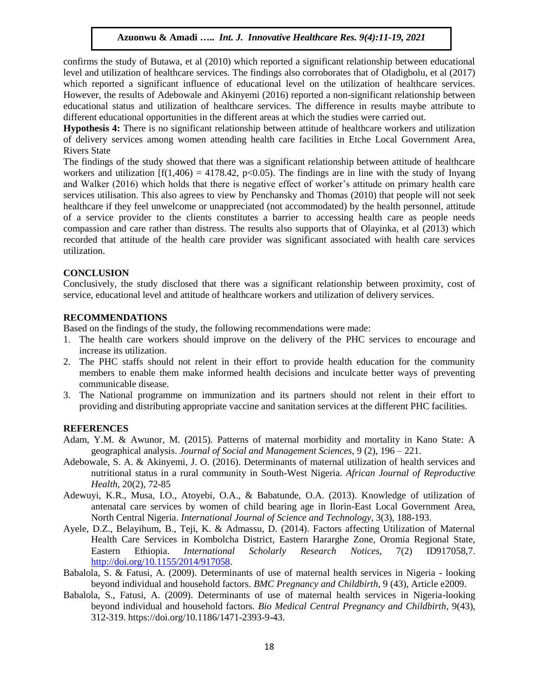confirms the study of Butawa, et al (2010) which reported a significant relationship between educational level and utilization of healthcare services. The findings also corroborates that of Oladigbolu, et al (2017) which reported a significant influence of educational level on the utilization of healthcare services. However, the results of Adebowale and Akinyemi (2016) reported a non-significant relationship between educational status and utilization of healthcare services. The difference in results maybe attribute to different educational opportunities in the different areas at which the studies were carried out.

**Hypothesis 4:** There is no significant relationship between attitude of healthcare workers and utilization of delivery services among women attending health care facilities in Etche Local Government Area, Rivers State

The findings of the study showed that there was a significant relationship between attitude of healthcare workers and utilization  $[f(1,406) = 4178.42, p<0.05)$ . The findings are in line with the study of Inyang and Walker (2016) which holds that there is negative effect of worker's attitude on primary health care services utilisation. This also agrees to view by Penchansky and Thomas (2010) that people will not seek healthcare if they feel unwelcome or unappreciated (not accommodated) by the health personnel, attitude of a service provider to the clients constitutes a barrier to accessing health care as people needs compassion and care rather than distress. The results also supports that of Olayinka, et al (2013) which recorded that attitude of the health care provider was significant associated with health care services utilization.

## **CONCLUSION**

Conclusively, the study disclosed that there was a significant relationship between proximity, cost of service, educational level and attitude of healthcare workers and utilization of delivery services.

#### **RECOMMENDATIONS**

Based on the findings of the study, the following recommendations were made:

- 1. The health care workers should improve on the delivery of the PHC services to encourage and increase its utilization.
- 2. The PHC staffs should not relent in their effort to provide health education for the community members to enable them make informed health decisions and inculcate better ways of preventing communicable disease.
- 3. The National programme on immunization and its partners should not relent in their effort to providing and distributing appropriate vaccine and sanitation services at the different PHC facilities.

#### **REFERENCES**

- Adam, Y.M. & Awunor, M. (2015). Patterns of maternal morbidity and mortality in Kano State: A geographical analysis. *Journal of Social and Management Sciences,* 9 (2), 196 – 221.
- Adebowale, S. A. & Akinyemi, J. O. (2016). Determinants of maternal utilization of health services and nutritional status in a rural community in South-West Nigeria. *African Journal of Reproductive Health*, 20(2), 72-85
- Adewuyi, K.R., Musa, I.O., Atoyebi, O.A., & Babatunde, O.A. (2013). Knowledge of utilization of antenatal care services by women of child bearing age in Ilorin-East Local Government Area, North Central Nigeria. *International Journal of Science and Technology,* 3(3), 188-193.
- Ayele, D.Z., Belayihum, B., Teji, K. & Admassu, D. (2014). Factors affecting Utilization of Maternal Health Care Services in Kombolcha District, Eastern Hararghe Zone, Oromia Regional State, Eastern Ethiopia. *International Scholarly Research Notices,* 7(2) ID917058,7. [http://doi.org/10.1155/2014/917058.](http://doi.org/10.1155/2014/917058)
- Babalola, S. & Fatusi, A. (2009). Determinants of use of maternal health services in Nigeria looking beyond individual and household factors. *BMC Pregnancy and Childbirth*, 9 (43), Article e2009.
- Babalola, S., Fatusi, A. (2009). Determinants of use of maternal health services in Nigeria-looking beyond individual and household factors. *Bio Medical Central Pregnancy and Childbirth*, 9(43), 312-319. https://doi.org/10.1186/1471-2393-9-43.